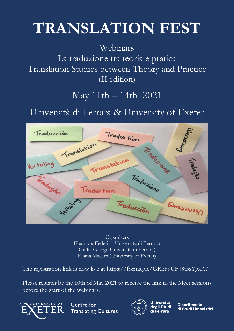## **TRANSLATION FEST**

## Webinars

La traduzione tra teoria e pratica Translation Studies between Theory and Practice (II edition)

## May 11th – 14th 2021

Università di Ferrara & University of Exeter



**Organizers** Eleonora Federici (Università di Ferrara) Giulia Giorgi (Università di Ferrara) Eliana Maestri (University of Exeter)

The registration link is now live at https://forms.gle/GRkF9CF48t3sYgxA7

Please register by the 10th of May 2021 to receive the link to the Meet sessions before the start of the webinars.



Centre for **Translating Cultures** 



**Università** deali Studi

**Dipartimento** di Studi Umanistici